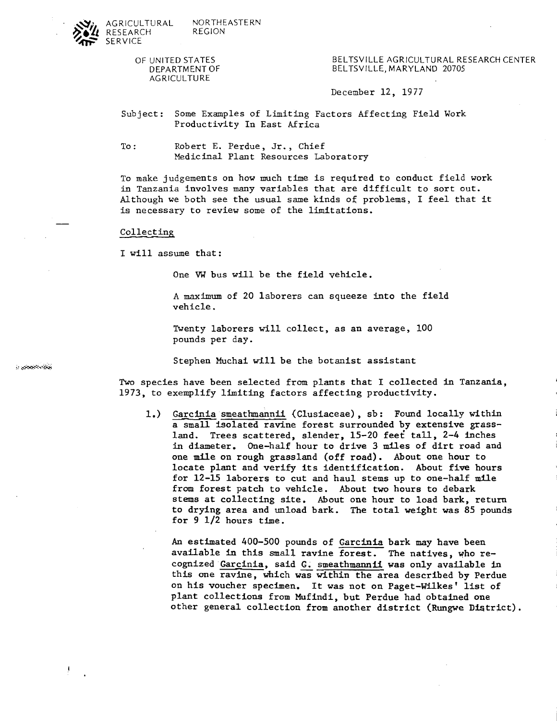

OF UNITED STATES DEPARTMENT OF AGRICULTURE

BELTSVILLE AGRICULTURAL RESEARCH CENTER BELTSVILLE, MARYLAND 20705

December 12, 1977

Subject: Some Examples of Limiting Factors Affecting Field Work Productivity In East Africa

To: Robert E. Perdue, Jr., Chief Medicinal Plant Resources Laboratory

To make judgements on how much time is required to conduct field work in Tanzania involves many variables that are difficult to sort out. Although we both see the usual same kinds of problems, I feel that it is necessary to review some of the limitations.

Collecting

I will assume that:

One **VW** bus will be the field vehicle.

A maximum of 20 laborers can squeeze into the field vehicle.

Twenty laborers will collect, as an average, 100 pounds per day.

Stephen Muchai will be the botanist assistant

**Two** species have been selected from plants that I collected in Tanzania, 1973, to exemplify limiting factors affecting productivity.

Garcinia smeathmannii (Clusiaceae), sb: Found locally within  $1.$ a small isolated ravine forest surrounded by extensive grassland. Trees scattered, slender, 15-20 feet tall, 2-4 inches in diameter. One-half hour to drive 3 miles of dirt road and one mile on rough grassland (off road). About one hour to locate plant and verify its identification. About five hours for 12-15 laborers to cut and haul stems up to one-half mile from forest patch to vehicle. About two hours to debark stems at collecting site. About one hour to load bark, return to drying area and unload bark. The total weight was 85 pounds for  $9 \frac{1}{2}$  hours time.

An estimated 400-500 pounds of Garcinia bark may have been available in this small ravine forest. The natives, who recognized Garcinia, said G. smeathmannii was only available in this one ravine, which was within the area described by Perdue on his voucher specimen. It was not on Paget-Wilkes' list of plant collections from Mufindi, but Perdue had obtained one other general collection from another district (Rungwe District).

**IT COOPENHAN** 

J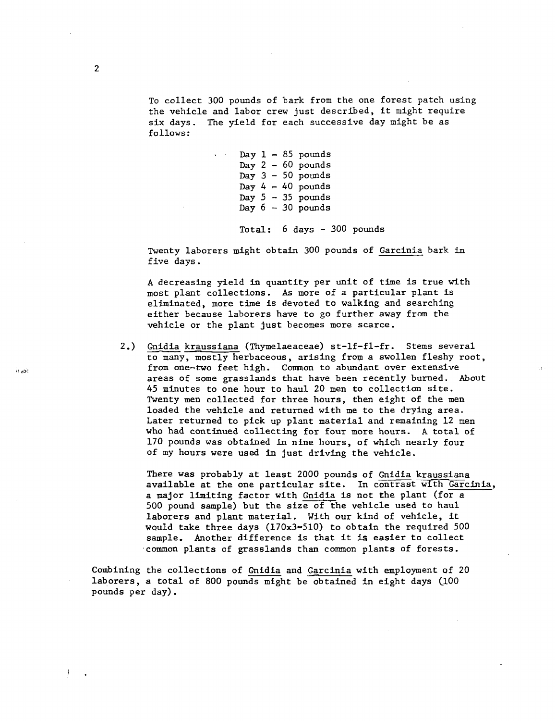To collect 300 pounds of bark from the one forest patch using the vehicle and labor crew just described, it might require six days. The yield for each successive day might be as follows:

> Day  $1 - 85$  pounds Day  $2 - 60$  pounds Day  $3 - 50$  pounds Day  $4 - 40$  pounds Day  $5 - 35$  pounds Day  $6 - 30$  pounds

Total: 6 days - 300 pounds

Twenty laborers might obtain 300 pounds of Garcinia bark in five days.

**<sup>A</sup>**decreasing yield in quantity per unit of time is true with most plant collections. As more of a particular plant is eliminated, more time is devoted to walking and searching either because laborers have to go further away from the vehicle or the plant just becomes more scarce.

2.) Gnidia kraussiana (Thymelaeaceae) st-1f-fl-fr. Stems several to many, mostly herbaceous, arising from a swollen fleshy root, from one-two feet high. Common to abundant over extensive areas of some grasslands that have been recently burned. About 45 minutes to one hour to haul 20 men to collection site. Twenty men collected for three hours, then eight of the men loaded the vehicle and returned with me to the drying area. Later returned to pick up plant material and remaining 12 men who had continued collecting for four more hours. **A** total of 170 pounds was obtained in nine hours, of which nearly four of my hours were used in just driving the vehicle.

There was probably at least 2000 pounds of Gnidia kraussiana available at the one particular site. In contrast with Garcinia, a major limiting factor with Gnidia is not the plant (for a 500 pound sample) but the size of the vehicle used to haul laborers and plant material. With our kind of vehicle, it would take three days (170x3=510) to obtain the required 500 sample. Another difference is that it **is** easier to collect ,common plants of grasslands than common plants of forests.

Combining the collections of Gnidia and Garcinia with employment of 20 laborers, a total of 800 pounds might be obtained in eight days  $(100)$ pounds per day).

 $\alpha$  as:

 $\overline{1}$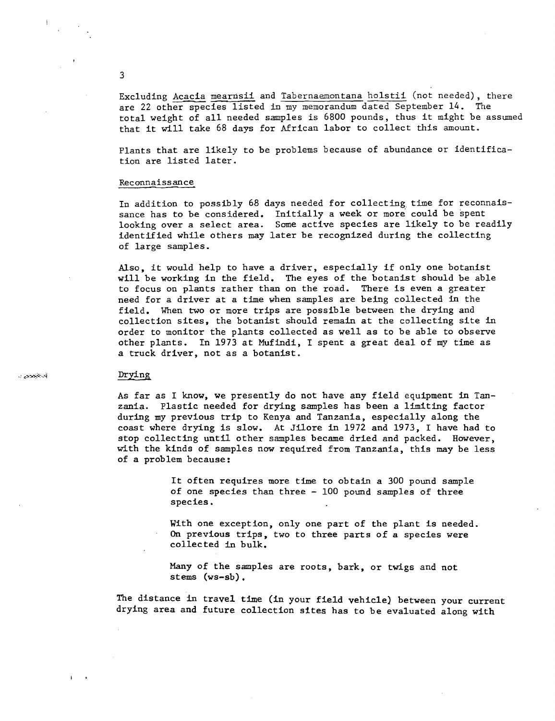Excluding Acacia mearnsii and Tabernaemontana holstii (not needed), there are 22 other species listed in my memorandum dated September 14. The total weight of all needed samples is 6800 pounds, thus it might be assumed that it will take 68 days for African labor to collect this amount.

Plants that are likely to be problems because of abundance or identification are listed later.

#### Reconnaissance

In addition to possibly 68 days needed for collecting time for reconnaissance has to be considered. Initially a week or more could be spent looking over a select area. Some active species are likely to be readily identified while others may later be recognized during the collecting of large samples.

Also, it would help to have a driver, especially if only one botanist will be working in the field. The eyes of the botanist should be able to focus on plants rather than on the road. There is even a greater need for a driver at a time when samples are being collected in the field. When two or more trips are possible between the drying and collection sites, the botanist should remain at the collecting site in order to monitor the plants collected as well as to be able to observe other plants. In 1973 at Mufindi, I spent a great deal of my time as a truck driver, not as a botanist.

## Drying

أواخوهونيء

As far as I know, we presently do not have any field equipment in Tanzania. Plastic needed for drying samples has been a limiting factor during my previous trip to Kenya and Tanzania, especially along the coast where drying is slow. At Jilore in 1972 and 1973, I have had to stop collecting until other samples became dried and packed. However, with the kinds of samples now required from Tanzania, this may be less of a problem because:

> It often requires more time to obtain a 300 pound sample of one species than three - 100 pound samples of three species.

With one exception, only one part of the plant is needed. **On** previous trips, two to three parts of a species were collected in bulk.

**Many** of the samples are roots, bark, or twigs and not stems (ws-sb) .

The distance in travel time (in your field vehicle) between your current drying area and future collection sites has to be evaluated along with

 $\overline{3}$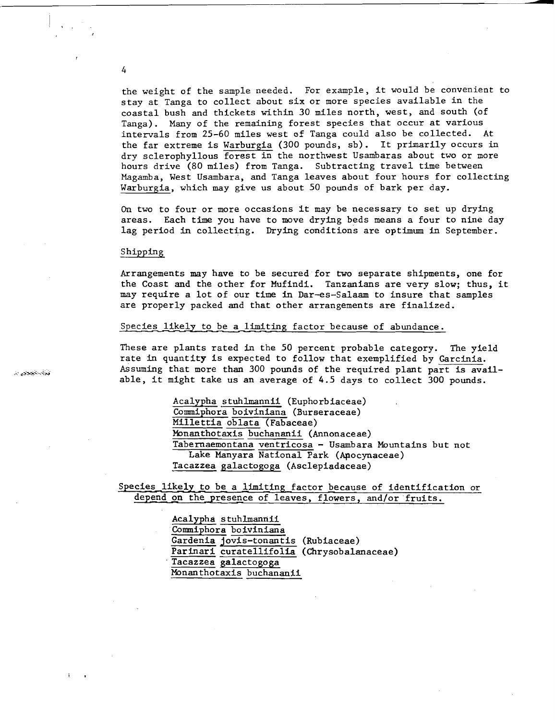the weight of the sample needed. For example, it would be convenient to stay at Tanga to collect about six or more species available in the coastal bush and thickets within 30 miles north, west, and south (of Tanga). Many of the remaining forest species that occur at various intervals from 25-60 miles west of Tanga could also be collected. At the far extreme is Warburgia (300 pounds, sb). It primarily occurs in dry sclerophyllous forest in the northwest Usambaras about two or more hours drive (80 miles) from Tanga. Subtracting travel time between Magamba, West Usambara, and Tanga leaves about four hours for collecting Warburgia, which may give us about 50 pounds of bark per day.

On two to four or more occasions It may be necessary to set up drying areas. Each time you have to move drying beds means a four to nine day lag period in collecting. Drying conditions are optimum in September.

### Shipping

Arrangements may have to be secured.for two separate shipments, one for the Coast and the other for Mufindi. Tanzanians are very slow; thus, it may require a lot of our time in Dar-es-Salaam to insure that samples are properly packed and that other arrangements are finalized.

Species likely to be a limiting factor because of abundance.

These are plants rated in the 50 percent probable category. The yield rate in quantity is expected to follow that exemplified by Garcinia. Assuming that more than 300 pounds of the required plant part is available, it might take us an average of 4.5 days to collect 300 pounds.

> Acalypha s tuhlmannii (Euphorb iaceae) Commiphora boiviniana (Burseraceae) Millettia oblata (Fabaceae) Monanthotaxis buchananii (Annonaceae) Tabernaemontana ventricosa - Usambara Mountains but not Lake Manyara National Park (Apocynaceae) Tacazzea galactogoga (Asclepiadaceae)

Species likely to be a limiting factor because of identification or depend on the presence of leaves, flowers, and/or fruits.

> Acalypha s tuhlmannii Commiphora boiviniana Gardenia jovis-tonantis (Rubiaceae) Parinari curatellifolia (Chrysobalanaceae) Tacazzea galactogoga Monanthotaxis buchananii

نذابه خبمتنى د

 $\overline{4}$